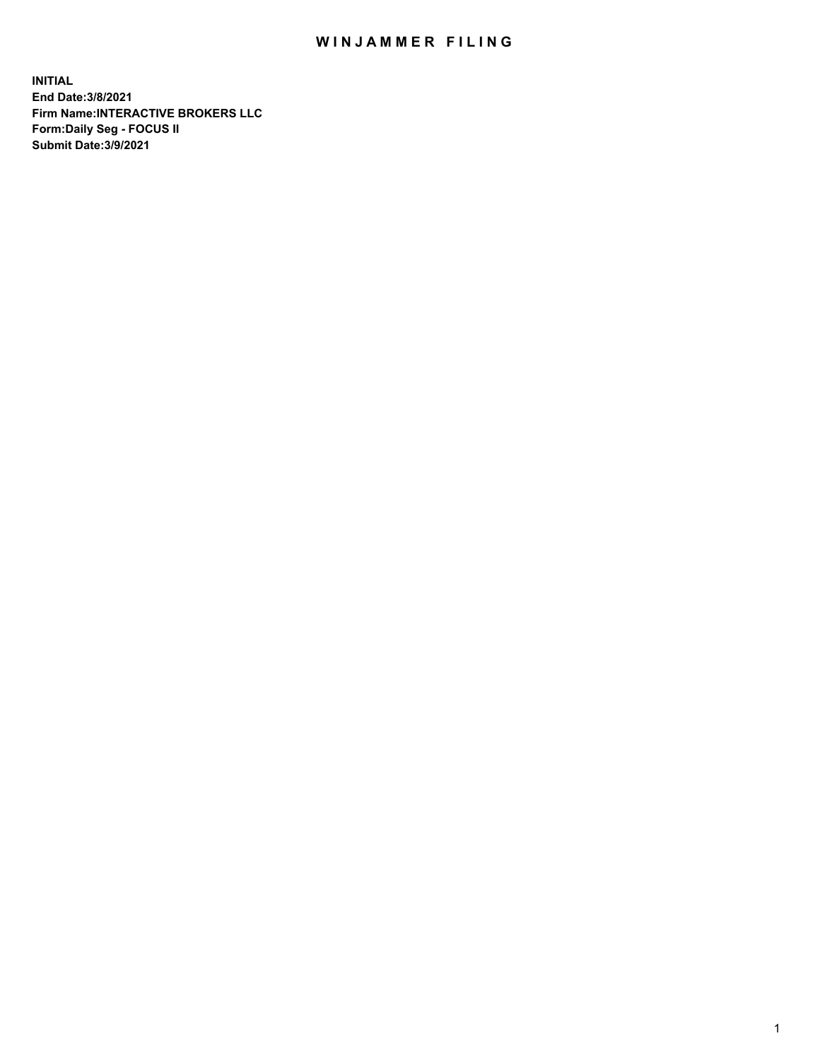## WIN JAMMER FILING

**INITIAL End Date:3/8/2021 Firm Name:INTERACTIVE BROKERS LLC Form:Daily Seg - FOCUS II Submit Date:3/9/2021**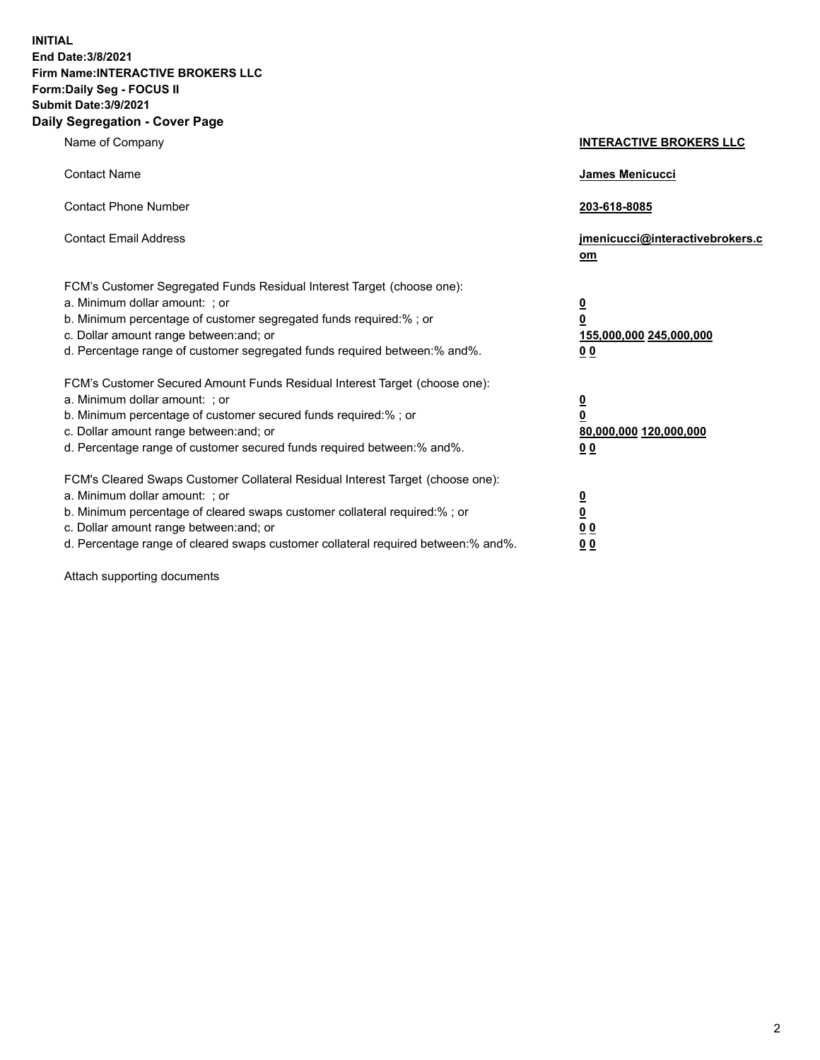**INITIAL End Date:3/8/2021 Firm Name:INTERACTIVE BROKERS LLC Form:Daily Seg - FOCUS II Submit Date:3/9/2021 Daily Segregation - Cover Page**

| Name of Company                                                                                                                                                                                                                                                                                                                | <b>INTERACTIVE BROKERS LLC</b>                                                                  |
|--------------------------------------------------------------------------------------------------------------------------------------------------------------------------------------------------------------------------------------------------------------------------------------------------------------------------------|-------------------------------------------------------------------------------------------------|
| <b>Contact Name</b>                                                                                                                                                                                                                                                                                                            | James Menicucci                                                                                 |
| <b>Contact Phone Number</b>                                                                                                                                                                                                                                                                                                    | 203-618-8085                                                                                    |
| <b>Contact Email Address</b>                                                                                                                                                                                                                                                                                                   | jmenicucci@interactivebrokers.c<br>om                                                           |
| FCM's Customer Segregated Funds Residual Interest Target (choose one):<br>a. Minimum dollar amount: ; or<br>b. Minimum percentage of customer segregated funds required:%; or<br>c. Dollar amount range between: and; or<br>d. Percentage range of customer segregated funds required between:% and%.                          | $\overline{\mathbf{0}}$<br>$\overline{\mathbf{0}}$<br>155,000,000 245,000,000<br>0 <sub>0</sub> |
| FCM's Customer Secured Amount Funds Residual Interest Target (choose one):<br>a. Minimum dollar amount: ; or<br>b. Minimum percentage of customer secured funds required:% ; or<br>c. Dollar amount range between: and; or<br>d. Percentage range of customer secured funds required between:% and%.                           | $\frac{0}{0}$<br>80,000,000 120,000,000<br>0 <sub>0</sub>                                       |
| FCM's Cleared Swaps Customer Collateral Residual Interest Target (choose one):<br>a. Minimum dollar amount: ; or<br>b. Minimum percentage of cleared swaps customer collateral required:% ; or<br>c. Dollar amount range between: and; or<br>d. Percentage range of cleared swaps customer collateral required between:% and%. | $\frac{0}{0}$<br>0 <sub>0</sub><br>0 <sub>0</sub>                                               |

Attach supporting documents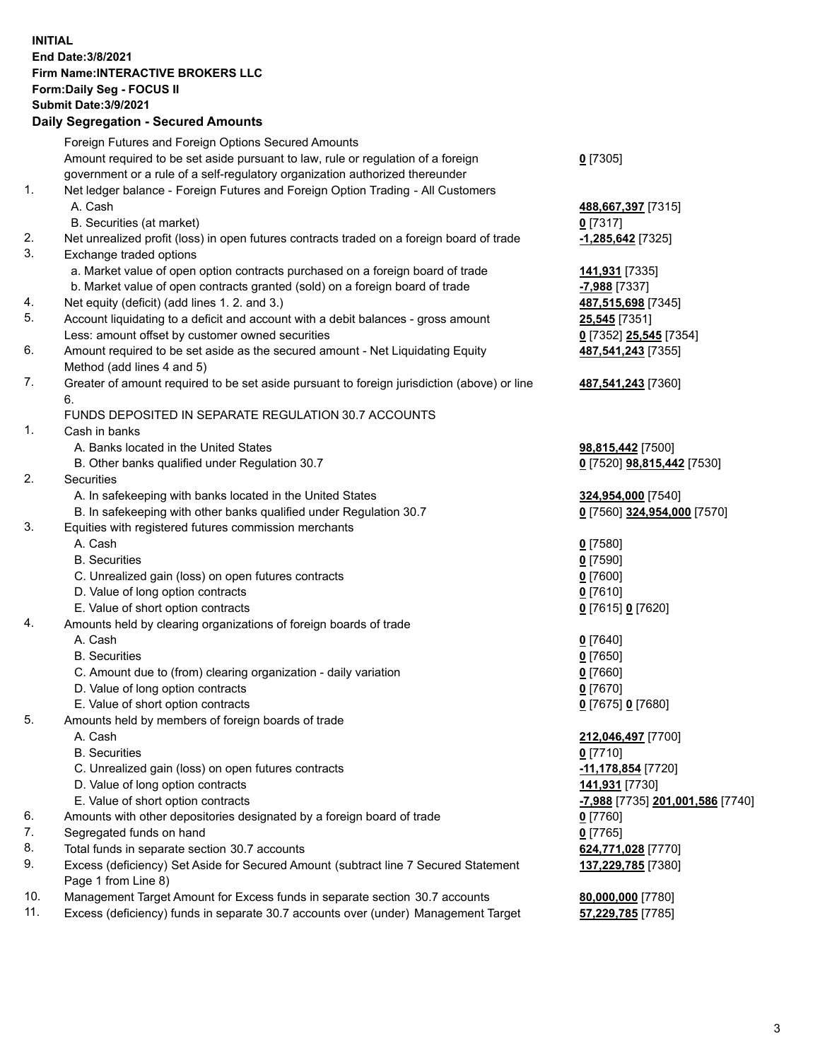## **INITIAL End Date:3/8/2021 Firm Name:INTERACTIVE BROKERS LLC Form:Daily Seg - FOCUS II Submit Date:3/9/2021 Daily Segregation - Secured Amounts**

|                | Dany Ocgregation - Occurea Anioants                                                         |                                  |
|----------------|---------------------------------------------------------------------------------------------|----------------------------------|
|                | Foreign Futures and Foreign Options Secured Amounts                                         |                                  |
|                | Amount required to be set aside pursuant to law, rule or regulation of a foreign            | $0$ [7305]                       |
|                | government or a rule of a self-regulatory organization authorized thereunder                |                                  |
| 1.             | Net ledger balance - Foreign Futures and Foreign Option Trading - All Customers             |                                  |
|                | A. Cash                                                                                     | 488,667,397 [7315]               |
|                | B. Securities (at market)                                                                   | $0$ [7317]                       |
| 2.             | Net unrealized profit (loss) in open futures contracts traded on a foreign board of trade   | $-1,285,642$ [7325]              |
| 3.             | Exchange traded options                                                                     |                                  |
|                | a. Market value of open option contracts purchased on a foreign board of trade              | 141,931 [7335]                   |
|                | b. Market value of open contracts granted (sold) on a foreign board of trade                | $-7,988$ [7337]                  |
| 4.             | Net equity (deficit) (add lines 1. 2. and 3.)                                               | 487,515,698 [7345]               |
| 5.             | Account liquidating to a deficit and account with a debit balances - gross amount           | <b>25,545</b> [7351]             |
|                | Less: amount offset by customer owned securities                                            | 0 [7352] 25,545 [7354]           |
| 6.             | Amount required to be set aside as the secured amount - Net Liquidating Equity              | 487,541,243 [7355]               |
|                | Method (add lines 4 and 5)                                                                  |                                  |
| 7.             | Greater of amount required to be set aside pursuant to foreign jurisdiction (above) or line | 487,541,243 [7360]               |
|                | 6.                                                                                          |                                  |
|                | FUNDS DEPOSITED IN SEPARATE REGULATION 30.7 ACCOUNTS                                        |                                  |
| $\mathbf{1}$ . | Cash in banks                                                                               |                                  |
|                | A. Banks located in the United States                                                       | 98,815,442 [7500]                |
|                | B. Other banks qualified under Regulation 30.7                                              | 0 [7520] 98,815,442 [7530]       |
| 2.             | Securities                                                                                  |                                  |
|                | A. In safekeeping with banks located in the United States                                   | 324,954,000 [7540]               |
|                | B. In safekeeping with other banks qualified under Regulation 30.7                          | 0 [7560] 324,954,000 [7570]      |
| 3.             | Equities with registered futures commission merchants                                       |                                  |
|                | A. Cash                                                                                     | $0$ [7580]                       |
|                | <b>B.</b> Securities                                                                        | $0$ [7590]                       |
|                | C. Unrealized gain (loss) on open futures contracts                                         | $0$ [7600]                       |
|                | D. Value of long option contracts                                                           | $0$ [7610]                       |
|                | E. Value of short option contracts                                                          | 0 [7615] 0 [7620]                |
| 4.             | Amounts held by clearing organizations of foreign boards of trade                           |                                  |
|                | A. Cash                                                                                     | $0$ [7640]                       |
|                | <b>B.</b> Securities                                                                        | $0$ [7650]                       |
|                | C. Amount due to (from) clearing organization - daily variation                             | $0$ [7660]                       |
|                | D. Value of long option contracts                                                           | $0$ [7670]                       |
|                | E. Value of short option contracts                                                          | 0 [7675] 0 [7680]                |
| 5.             | Amounts held by members of foreign boards of trade                                          |                                  |
|                | A. Cash                                                                                     | 212,046,497 [7700]               |
|                | <b>B.</b> Securities                                                                        | $0$ [7710]                       |
|                | C. Unrealized gain (loss) on open futures contracts                                         | -11,178,854 [7720]               |
|                | D. Value of long option contracts                                                           | 141,931 [7730]                   |
|                | E. Value of short option contracts                                                          | -7,988 [7735] 201,001,586 [7740] |
| 6.             | Amounts with other depositories designated by a foreign board of trade                      | 0 [7760]                         |
| 7.             | Segregated funds on hand                                                                    | $0$ [7765]                       |
| 8.             | Total funds in separate section 30.7 accounts                                               | 624,771,028 [7770]               |
| 9.             | Excess (deficiency) Set Aside for Secured Amount (subtract line 7 Secured Statement         | 137,229,785 [7380]               |
|                | Page 1 from Line 8)                                                                         |                                  |
| 10.            | Management Target Amount for Excess funds in separate section 30.7 accounts                 | 80,000,000 [7780]                |
| 11.            | Excess (deficiency) funds in separate 30.7 accounts over (under) Management Target          | 57,229,785 [7785]                |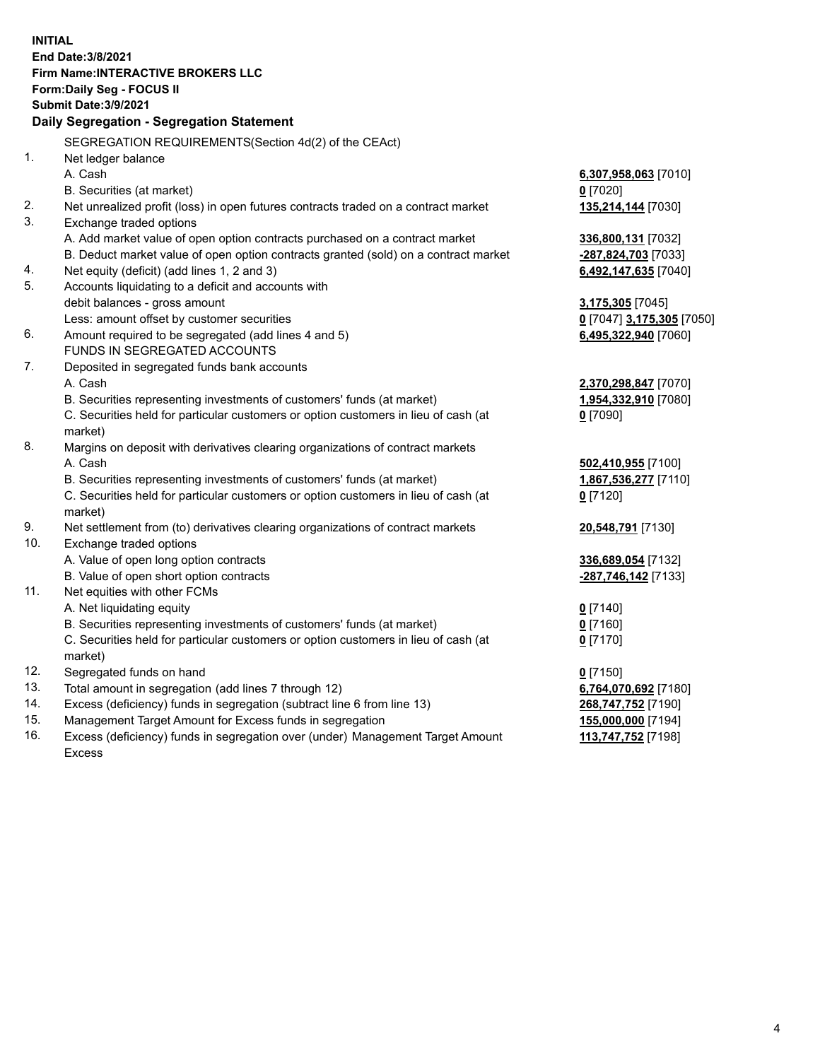**INITIAL End Date:3/8/2021 Firm Name:INTERACTIVE BROKERS LLC Form:Daily Seg - FOCUS II Submit Date:3/9/2021 Daily Segregation - Segregation Statement** SEGREGATION REQUIREMENTS(Section 4d(2) of the CEAct) 1. Net ledger balance A. Cash **6,307,958,063** [7010] B. Securities (at market) **0** [7020] 2. Net unrealized profit (loss) in open futures contracts traded on a contract market **135,214,144** [7030] 3. Exchange traded options A. Add market value of open option contracts purchased on a contract market **336,800,131** [7032] B. Deduct market value of open option contracts granted (sold) on a contract market **-287,824,703** [7033] 4. Net equity (deficit) (add lines 1, 2 and 3) **6,492,147,635** [7040] 5. Accounts liquidating to a deficit and accounts with debit balances - gross amount **3,175,305** [7045] Less: amount offset by customer securities **0** [7047] **3,175,305** [7050] 6. Amount required to be segregated (add lines 4 and 5) **6,495,322,940** [7060] FUNDS IN SEGREGATED ACCOUNTS 7. Deposited in segregated funds bank accounts A. Cash **2,370,298,847** [7070] B. Securities representing investments of customers' funds (at market) **1,954,332,910** [7080] C. Securities held for particular customers or option customers in lieu of cash (at market) **0** [7090] 8. Margins on deposit with derivatives clearing organizations of contract markets A. Cash **502,410,955** [7100] B. Securities representing investments of customers' funds (at market) **1,867,536,277** [7110] C. Securities held for particular customers or option customers in lieu of cash (at market) **0** [7120] 9. Net settlement from (to) derivatives clearing organizations of contract markets **20,548,791** [7130] 10. Exchange traded options A. Value of open long option contracts **336,689,054** [7132] B. Value of open short option contracts **-287,746,142** [7133] 11. Net equities with other FCMs A. Net liquidating equity **0** [7140] B. Securities representing investments of customers' funds (at market) **0** [7160] C. Securities held for particular customers or option customers in lieu of cash (at market) **0** [7170] 12. Segregated funds on hand **0** [7150] 13. Total amount in segregation (add lines 7 through 12) **6,764,070,692** [7180] 14. Excess (deficiency) funds in segregation (subtract line 6 from line 13) **268,747,752** [7190] 15. Management Target Amount for Excess funds in segregation **155,000,000** [7194] 16. Excess (deficiency) funds in segregation over (under) Management Target Amount Excess **113,747,752** [7198]